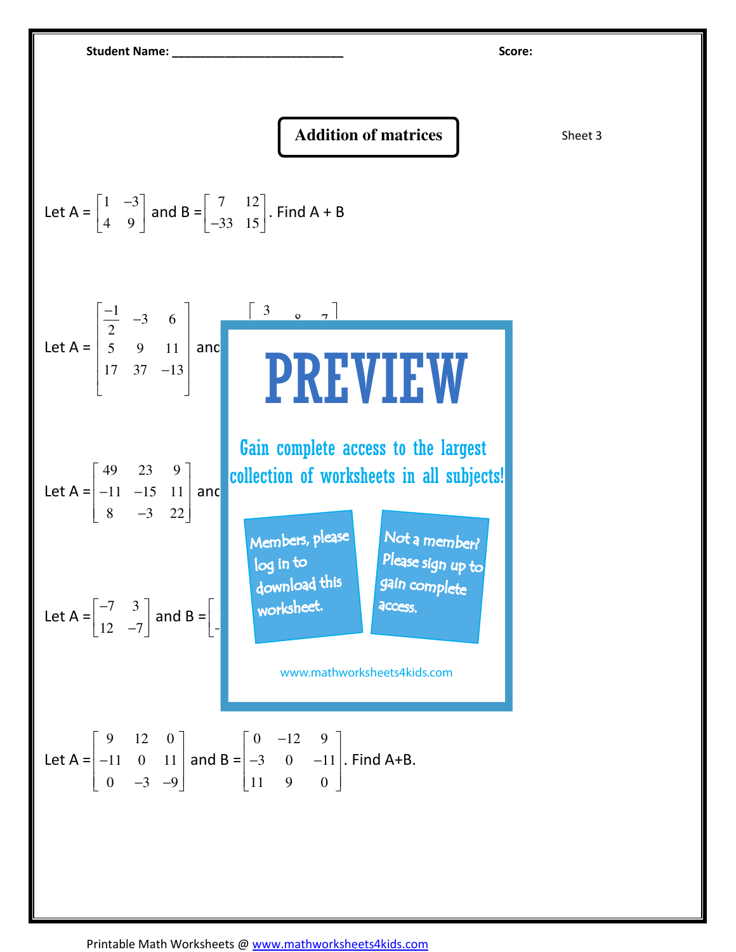